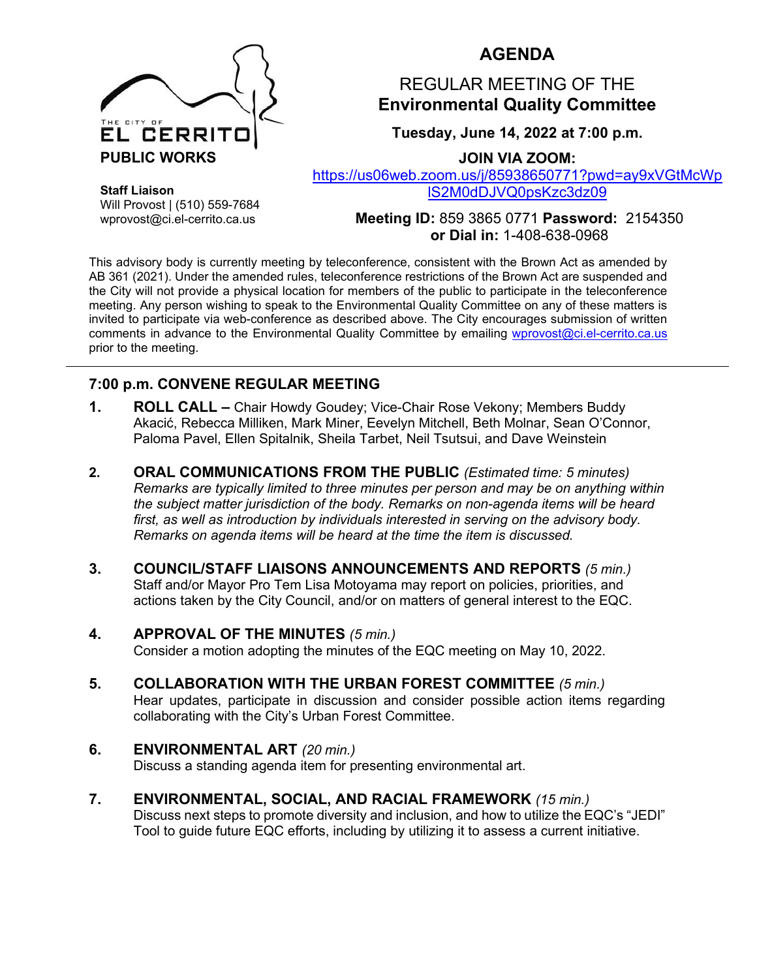

## **AGENDA**

## REGULAR MEETING OF THE **Environmental Quality Committee**

**Tuesday, June 14, 2022 at 7:00 p.m.**

**JOIN VIA ZOOM:**

[https://us06web.zoom.us/j/85938650771?pwd=ay9xVGtMcWp](https://us06web.zoom.us/j/85938650771?pwd=ay9xVGtMcWplS2M0dDJVQ0psKzc3dz09) [lS2M0dDJVQ0psKzc3dz09](https://us06web.zoom.us/j/85938650771?pwd=ay9xVGtMcWplS2M0dDJVQ0psKzc3dz09)

**Staff Liaison** Will Provost | (510) 559-7684 wprovost@ci.el-cerrito.ca.us

**Meeting ID:** 859 3865 0771 **Password:** 2154350 **or Dial in:** 1-408-638-0968

This advisory body is currently meeting by teleconference, consistent with the Brown Act as amended by AB 361 (2021). Under the amended rules, teleconference restrictions of the Brown Act are suspended and the City will not provide a physical location for members of the public to participate in the teleconference meeting. Any person wishing to speak to the Environmental Quality Committee on any of these matters is invited to participate via web-conference as described above. The City encourages submission of written comments in advance to the Environmental Quality Committee by emailing [wprovost@ci.el-cerrito.ca.us](mailto:wprovost@ci.el-cerrito.ca.us) prior to the meeting.

### **7:00 p.m. CONVENE REGULAR MEETING**

- **1. ROLL CALL –** Chair Howdy Goudey; Vice-Chair Rose Vekony; Members Buddy Akacić, Rebecca Milliken, Mark Miner, Eevelyn Mitchell, Beth Molnar, Sean O'Connor, Paloma Pavel, Ellen Spitalnik, Sheila Tarbet, Neil Tsutsui, and Dave Weinstein
- **2. ORAL COMMUNICATIONS FROM THE PUBLIC** *(Estimated time: 5 minutes) Remarks are typically limited to three minutes per person and may be on anything within the subject matter jurisdiction of the body. Remarks on non-agenda items will be heard*  first, as well as introduction by individuals interested in serving on the advisory body. *Remarks on agenda items will be heard at the time the item is discussed.*
- **3. COUNCIL/STAFF LIAISONS ANNOUNCEMENTS AND REPORTS** *(5 min.)* Staff and/or Mayor Pro Tem Lisa Motoyama may report on policies, priorities, and actions taken by the City Council, and/or on matters of general interest to the EQC.

## **4. APPROVAL OF THE MINUTES** *(5 min.)*

Consider a motion adopting the minutes of the EQC meeting on May 10, 2022.

- **5. COLLABORATION WITH THE URBAN FOREST COMMITTEE** *(5 min.)* Hear updates, participate in discussion and consider possible action items regarding collaborating with the City's Urban Forest Committee.
- **6. ENVIRONMENTAL ART** *(20 min.)*

Discuss a standing agenda item for presenting environmental art.

**7. ENVIRONMENTAL, SOCIAL, AND RACIAL FRAMEWORK** *(15 min.)* Discuss next steps to promote diversity and inclusion, and how to utilize the EQC's "JEDI" Tool to guide future EQC efforts, including by utilizing it to assess a current initiative.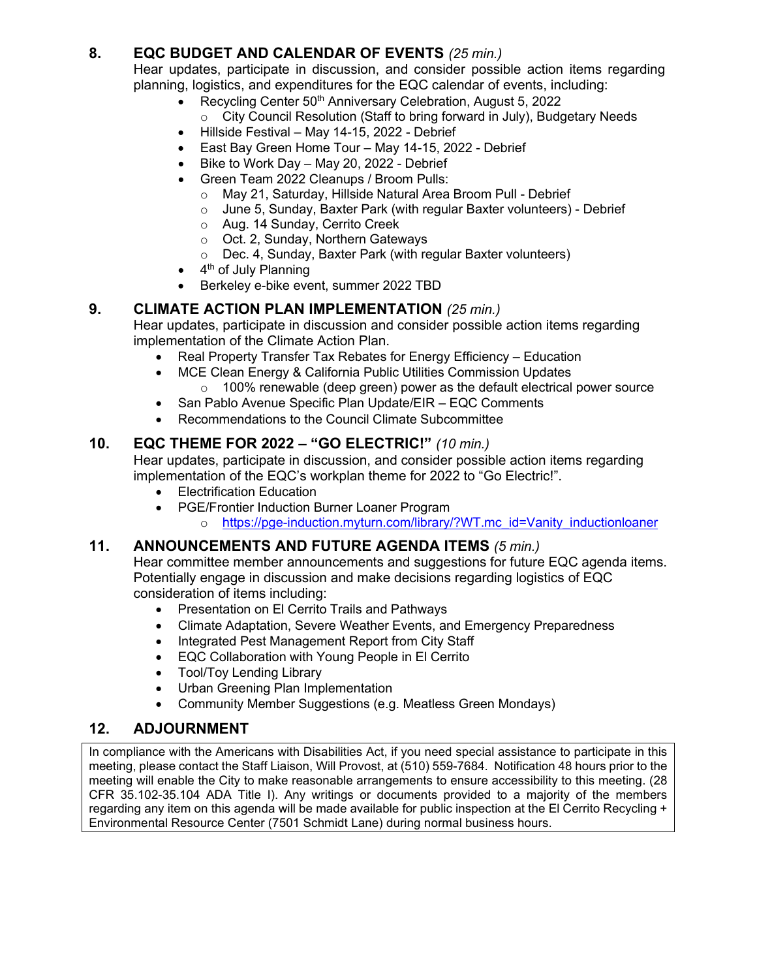### **8. EQC BUDGET AND CALENDAR OF EVENTS** *(25 min.)*

Hear updates, participate in discussion, and consider possible action items regarding planning, logistics, and expenditures for the EQC calendar of events, including:

- Recycling Center 50<sup>th</sup> Anniversary Celebration, August 5, 2022 o City Council Resolution (Staff to bring forward in July), Budgetary Needs
- Hillside Festival May 14-15, 2022 Debrief
- East Bay Green Home Tour May 14-15, 2022 Debrief
- Bike to Work Day May 20, 2022 Debrief
- Green Team 2022 Cleanups / Broom Pulls:
	-
	- o May 21, Saturday, Hillside Natural Area Broom Pull Debrief o June 5, Sunday, Baxter Park (with regular Baxter volunteers) June 5, Sunday, Baxter Park (with regular Baxter volunteers) - Debrief
	- o Aug. 14 Sunday, Cerrito Creek
	- o Oct. 2, Sunday, Northern Gateways
	- o Dec. 4, Sunday, Baxter Park (with regular Baxter volunteers)
- $\bullet$  4<sup>th</sup> of July Planning
- Berkeley e-bike event, summer 2022 TBD

#### **9. CLIMATE ACTION PLAN IMPLEMENTATION** *(25 min.)*

Hear updates, participate in discussion and consider possible action items regarding implementation of the Climate Action Plan.

- Real Property Transfer Tax Rebates for Energy Efficiency Education
- MCE Clean Energy & California Public Utilities Commission Updates
	- o 100% renewable (deep green) power as the default electrical power source
- San Pablo Avenue Specific Plan Update/EIR EQC Comments
- Recommendations to the Council Climate Subcommittee

#### **10. EQC THEME FOR 2022 – "GO ELECTRIC!"** *(10 min.)*

Hear updates, participate in discussion, and consider possible action items regarding implementation of the EQC's workplan theme for 2022 to "Go Electric!".

- Electrification Education
- PGE/Frontier Induction Burner Loaner Program
	- o [https://pge-induction.myturn.com/library/?WT.mc\\_id=Vanity\\_inductionloaner](https://pge-induction.myturn.com/library/?WT.mc_id=Vanity_inductionloaner)

#### **11. ANNOUNCEMENTS AND FUTURE AGENDA ITEMS** *(5 min.)*

Hear committee member announcements and suggestions for future EQC agenda items. Potentially engage in discussion and make decisions regarding logistics of EQC consideration of items including:

- Presentation on El Cerrito Trails and Pathways
- Climate Adaptation, Severe Weather Events, and Emergency Preparedness
- Integrated Pest Management Report from City Staff
- EQC Collaboration with Young People in El Cerrito
- Tool/Toy Lending Library
- Urban Greening Plan Implementation
- Community Member Suggestions (e.g. Meatless Green Mondays)

## **12. ADJOURNMENT**

In compliance with the Americans with Disabilities Act, if you need special assistance to participate in this meeting, please contact the Staff Liaison, Will Provost, at (510) 559-7684. Notification 48 hours prior to the meeting will enable the City to make reasonable arrangements to ensure accessibility to this meeting. (28 CFR 35.102-35.104 ADA Title I). Any writings or documents provided to a majority of the members regarding any item on this agenda will be made available for public inspection at the El Cerrito Recycling + Environmental Resource Center (7501 Schmidt Lane) during normal business hours.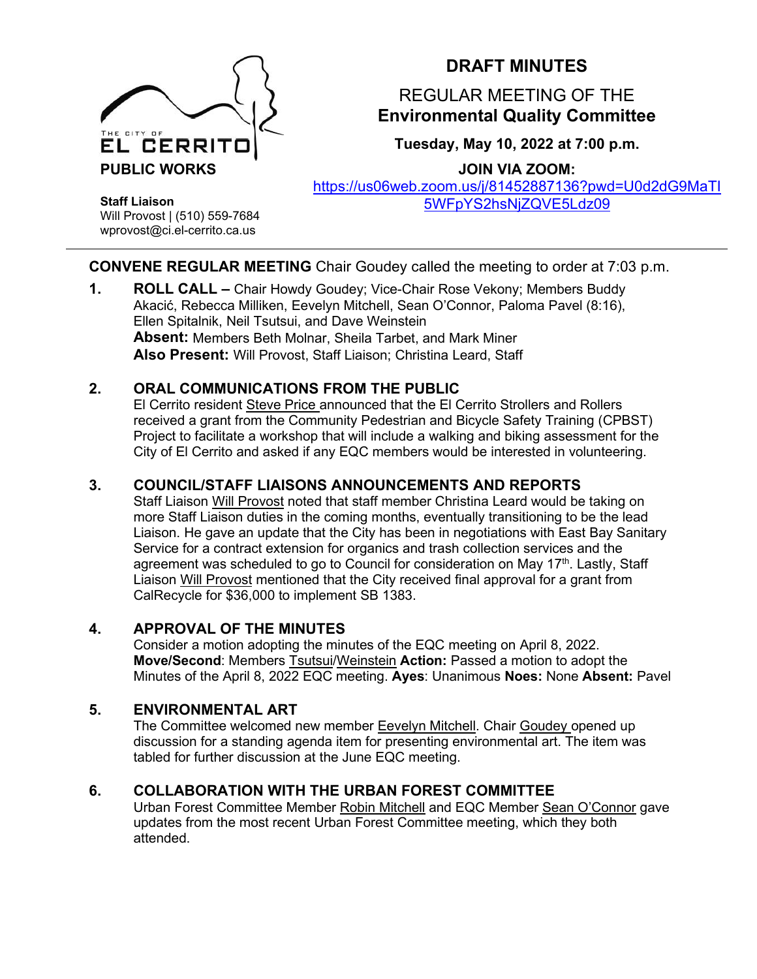

# **DRAFT MINUTES**

## REGULAR MEETING OF THE **Environmental Quality Committee**

**Tuesday, May 10, 2022 at 7:00 p.m.**

**JOIN VIA ZOOM:**

[https://us06web.zoom.us/j/81452887136?pwd=U0d2dG9MaTI](https://us06web.zoom.us/j/81452887136?pwd=U0d2dG9MaTI5WFpYS2hsNjZQVE5Ldz09) [5WFpYS2hsNjZQVE5Ldz09](https://us06web.zoom.us/j/81452887136?pwd=U0d2dG9MaTI5WFpYS2hsNjZQVE5Ldz09)

**Staff Liaison** Will Provost | (510) 559-7684 wprovost@ci.el-cerrito.ca.us

#### **CONVENE REGULAR MEETING** Chair Goudey called the meeting to order at 7:03 p.m.

**1. ROLL CALL –** Chair Howdy Goudey; Vice-Chair Rose Vekony; Members Buddy Akacić, Rebecca Milliken, Eevelyn Mitchell, Sean O'Connor, Paloma Pavel (8:16), Ellen Spitalnik, Neil Tsutsui, and Dave Weinstein **Absent:** Members Beth Molnar, Sheila Tarbet, and Mark Miner **Also Present:** Will Provost, Staff Liaison; Christina Leard, Staff

#### **2. ORAL COMMUNICATIONS FROM THE PUBLIC**

El Cerrito resident Steve Price announced that the El Cerrito Strollers and Rollers received a grant from the Community Pedestrian and Bicycle Safety Training (CPBST) Project to facilitate a workshop that will include a walking and biking assessment for the City of El Cerrito and asked if any EQC members would be interested in volunteering.

### **3. COUNCIL/STAFF LIAISONS ANNOUNCEMENTS AND REPORTS**

Staff Liaison Will Provost noted that staff member Christina Leard would be taking on more Staff Liaison duties in the coming months, eventually transitioning to be the lead Liaison. He gave an update that the City has been in negotiations with East Bay Sanitary Service for a contract extension for organics and trash collection services and the agreement was scheduled to go to Council for consideration on May 17<sup>th</sup>. Lastly, Staff Liaison Will Provost mentioned that the City received final approval for a grant from CalRecycle for \$36,000 to implement SB 1383.

#### **4. APPROVAL OF THE MINUTES**

Consider a motion adopting the minutes of the EQC meeting on April 8, 2022. **Move/Second**: Members Tsutsui/Weinstein **Action:** Passed a motion to adopt the Minutes of the April 8, 2022 EQC meeting. **Ayes**: Unanimous **Noes:** None **Absent:** Pavel

## **5. ENVIRONMENTAL ART**

The Committee welcomed new member **Eevelyn Mitchell**. Chair Goudey opened up discussion for a standing agenda item for presenting environmental art. The item was tabled for further discussion at the June EQC meeting.

## **6. COLLABORATION WITH THE URBAN FOREST COMMITTEE**

Urban Forest Committee Member Robin Mitchell and EQC Member Sean O'Connor gave updates from the most recent Urban Forest Committee meeting, which they both attended.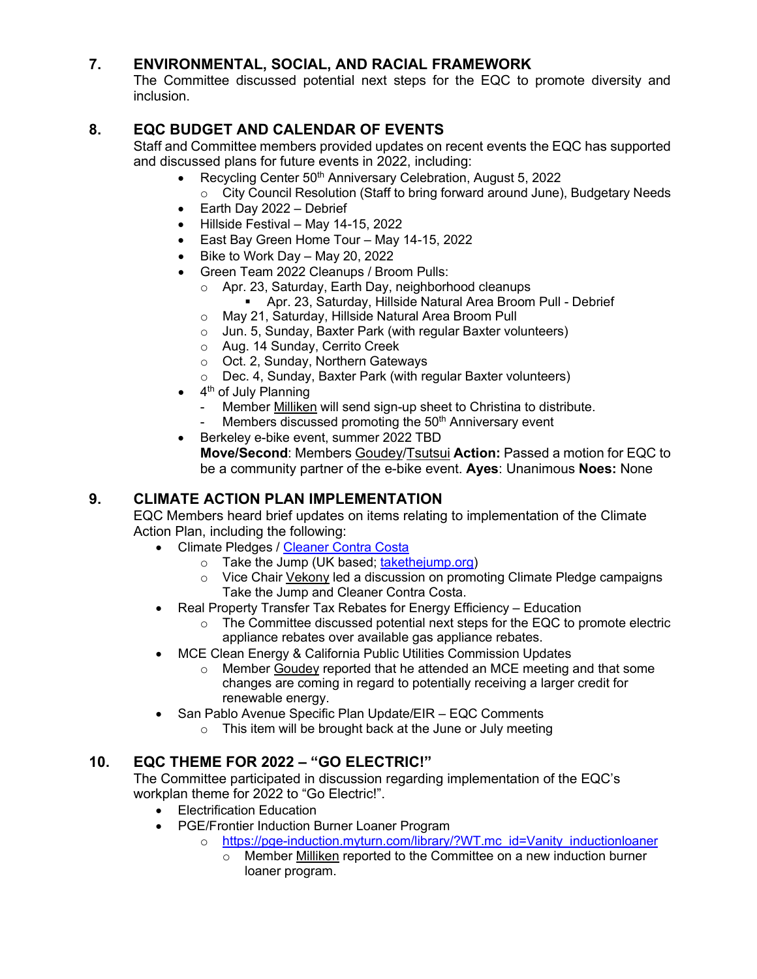### **7. ENVIRONMENTAL, SOCIAL, AND RACIAL FRAMEWORK**

The Committee discussed potential next steps for the EQC to promote diversity and inclusion.

### **8. EQC BUDGET AND CALENDAR OF EVENTS**

Staff and Committee members provided updates on recent events the EQC has supported and discussed plans for future events in 2022, including:

- Recycling Center 50<sup>th</sup> Anniversary Celebration, August 5, 2022
	- $\circ$  City Council Resolution (Staff to bring forward around June), Budgetary Needs
- Earth Day 2022 Debrief
- Hillside Festival May 14-15, 2022
- East Bay Green Home Tour May 14-15, 2022
- Bike to Work Day May 20, 2022
- Green Team 2022 Cleanups / Broom Pulls:
	- o Apr. 23, Saturday, Earth Day, neighborhood cleanups
		- Apr. 23, Saturday, Hillside Natural Area Broom Pull Debrief
	- o May 21, Saturday, Hillside Natural Area Broom Pull
	- o Jun. 5, Sunday, Baxter Park (with regular Baxter volunteers)
	- o Aug. 14 Sunday, Cerrito Creek
	- o Oct. 2, Sunday, Northern Gateways
	- o Dec. 4, Sunday, Baxter Park (with regular Baxter volunteers)
- $\bullet$  4<sup>th</sup> of July Planning
	- Member Milliken will send sign-up sheet to Christina to distribute.
	- Members discussed promoting the 50<sup>th</sup> Anniversary event
- Berkeley e-bike event, summer 2022 TBD **Move/Second**: Members Goudey/Tsutsui **Action:** Passed a motion for EQC to be a community partner of the e-bike event. **Ayes**: Unanimous **Noes:** None

#### **9. CLIMATE ACTION PLAN IMPLEMENTATION**

EQC Members heard brief updates on items relating to implementation of the Climate Action Plan, including the following:

- Climate Pledges / [Cleaner Contra Costa](https://cleanercontracosta.org/)
	- o Take the Jump (UK based; [takethejump.org\)](https://takethejump.org/)
	- $\circ$  Vice Chair Vekony led a discussion on promoting Climate Pledge campaigns Take the Jump and Cleaner Contra Costa.
- Real Property Transfer Tax Rebates for Energy Efficiency Education
	- $\circ$  The Committee discussed potential next steps for the EQC to promote electric appliance rebates over available gas appliance rebates.
- MCE Clean Energy & California Public Utilities Commission Updates
	- $\circ$  Member Goudey reported that he attended an MCE meeting and that some changes are coming in regard to potentially receiving a larger credit for renewable energy.
- San Pablo Avenue Specific Plan Update/EIR EQC Comments
	- o This item will be brought back at the June or July meeting

#### **10. EQC THEME FOR 2022 – "GO ELECTRIC!"**

The Committee participated in discussion regarding implementation of the EQC's workplan theme for 2022 to "Go Electric!".

- Electrification Education
- PGE/Frontier Induction Burner Loaner Program
	- o https://pge-induction.myturn.com/library/?WT.mc\_id=Vanity\_inductionloaner
		- o Member Milliken reported to the Committee on a new induction burner loaner program.